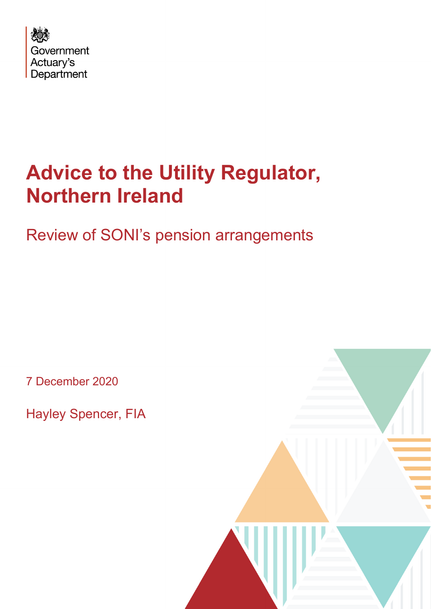

## **Advice to the Utility Regulator, Northern Ireland**

## Review of SONI's pension arrangements

7 December 2020

Hayley Spencer, FIA

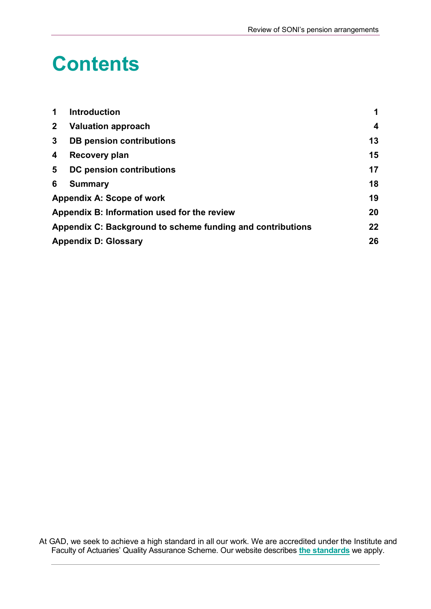## **Contents**

| 1                                                          | <b>Introduction</b>             | 1                |
|------------------------------------------------------------|---------------------------------|------------------|
| $\mathbf{2}$                                               | <b>Valuation approach</b>       | $\boldsymbol{4}$ |
| 3                                                          | <b>DB pension contributions</b> | 13               |
| 4                                                          | Recovery plan                   | 15               |
| 5                                                          | DC pension contributions        | 17               |
| 6                                                          | <b>Summary</b>                  | 18               |
| <b>Appendix A: Scope of work</b>                           |                                 |                  |
| Appendix B: Information used for the review                |                                 |                  |
| Appendix C: Background to scheme funding and contributions |                                 |                  |
| <b>Appendix D: Glossary</b>                                |                                 |                  |

At GAD, we seek to achieve a high standard in all our work. We are accredited under the Institute and Faculty of Actuaries' Quality Assurance Scheme. Our website describes **[the standards](https://www.gov.uk/government/organisations/government-actuarys-department/about/terms-of-reference)** we apply.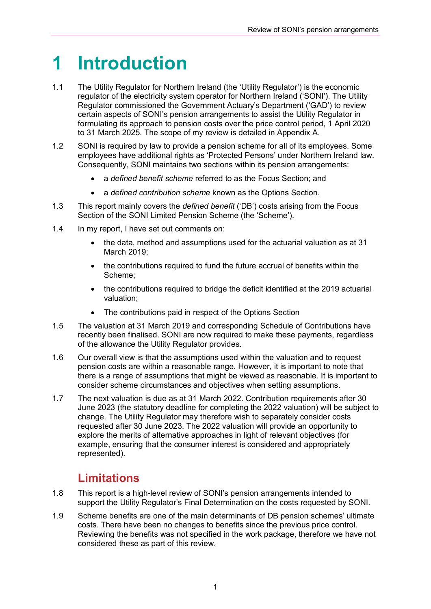## <span id="page-2-0"></span>**1 Introduction**

- 1.1 The Utility Regulator for Northern Ireland (the 'Utility Regulator') is the economic regulator of the electricity system operator for Northern Ireland ('SONI'). The Utility Regulator commissioned the Government Actuary's Department ('GAD') to review certain aspects of SONI's pension arrangements to assist the Utility Regulator in formulating its approach to pension costs over the price control period, 1 April 2020 to 31 March 2025. The scope of my review is detailed in Appendix A.
- 1.2 SONI is required by law to provide a pension scheme for all of its employees. Some employees have additional rights as 'Protected Persons' under Northern Ireland law. Consequently, SONI maintains two sections within its pension arrangements:
	- a *defined benefit scheme* referred to as the Focus Section; and
	- a *defined contribution scheme* known as the Options Section.
- 1.3 This report mainly covers the *defined benefit* ('DB') costs arising from the Focus Section of the SONI Limited Pension Scheme (the 'Scheme').
- 1.4 In my report, I have set out comments on:
	- the data, method and assumptions used for the actuarial valuation as at 31 March 2019;
	- the contributions required to fund the future accrual of benefits within the Scheme;
	- the contributions required to bridge the deficit identified at the 2019 actuarial valuation;
	- The contributions paid in respect of the Options Section
- 1.5 The valuation at 31 March 2019 and corresponding Schedule of Contributions have recently been finalised. SONI are now required to make these payments, regardless of the allowance the Utility Regulator provides.
- 1.6 Our overall view is that the assumptions used within the valuation and to request pension costs are within a reasonable range. However, it is important to note that there is a range of assumptions that might be viewed as reasonable. It is important to consider scheme circumstances and objectives when setting assumptions.
- 1.7 The next valuation is due as at 31 March 2022. Contribution requirements after 30 June 2023 (the statutory deadline for completing the 2022 valuation) will be subject to change. The Utility Regulator may therefore wish to separately consider costs requested after 30 June 2023. The 2022 valuation will provide an opportunity to explore the merits of alternative approaches in light of relevant objectives (for example, ensuring that the consumer interest is considered and appropriately represented).

### **Limitations**

- 1.8 This report is a high-level review of SONI's pension arrangements intended to support the Utility Regulator's Final Determination on the costs requested by SONI.
- 1.9 Scheme benefits are one of the main determinants of DB pension schemes' ultimate costs. There have been no changes to benefits since the previous price control. Reviewing the benefits was not specified in the work package, therefore we have not considered these as part of this review.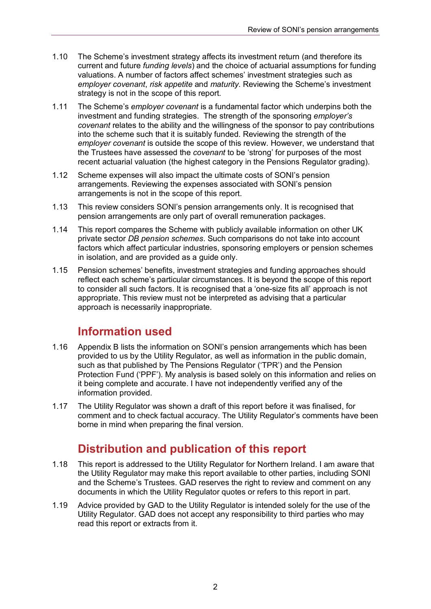- 1.10 The Scheme's investment strategy affects its investment return (and therefore its current and future *funding levels*) and the choice of actuarial assumptions for funding valuations. A number of factors affect schemes' investment strategies such as *employer covenant*, *risk appetite* and *maturity*. Reviewing the Scheme's investment strategy is not in the scope of this report.
- 1.11 The Scheme's *employer covenant* is a fundamental factor which underpins both the investment and funding strategies. The strength of the sponsoring *employer's covenant* relates to the ability and the willingness of the sponsor to pay contributions into the scheme such that it is suitably funded. Reviewing the strength of the *employer covenant* is outside the scope of this review. However, we understand that the Trustees have assessed the *covenant* to be 'strong' for purposes of the most recent actuarial valuation (the highest category in the Pensions Regulator grading).
- 1.12 Scheme expenses will also impact the ultimate costs of SONI's pension arrangements. Reviewing the expenses associated with SONI's pension arrangements is not in the scope of this report.
- 1.13 This review considers SONI's pension arrangements only. It is recognised that pension arrangements are only part of overall remuneration packages.
- 1.14 This report compares the Scheme with publicly available information on other UK private sector *DB pension schemes*. Such comparisons do not take into account factors which affect particular industries, sponsoring employers or pension schemes in isolation, and are provided as a guide only.
- 1.15 Pension schemes' benefits, investment strategies and funding approaches should reflect each scheme's particular circumstances. It is beyond the scope of this report to consider all such factors. It is recognised that a 'one-size fits all' approach is not appropriate. This review must not be interpreted as advising that a particular approach is necessarily inappropriate.

### **Information used**

- 1.16 Appendix B lists the information on SONI's pension arrangements which has been provided to us by the Utility Regulator, as well as information in the public domain, such as that published by The Pensions Regulator ('TPR') and the Pension Protection Fund ('PPF'). My analysis is based solely on this information and relies on it being complete and accurate. I have not independently verified any of the information provided.
- 1.17 The Utility Regulator was shown a draft of this report before it was finalised, for comment and to check factual accuracy. The Utility Regulator's comments have been borne in mind when preparing the final version.

### **Distribution and publication of this report**

- 1.18 This report is addressed to the Utility Regulator for Northern Ireland. I am aware that the Utility Regulator may make this report available to other parties, including SONI and the Scheme's Trustees. GAD reserves the right to review and comment on any documents in which the Utility Regulator quotes or refers to this report in part.
- 1.19 Advice provided by GAD to the Utility Regulator is intended solely for the use of the Utility Regulator. GAD does not accept any responsibility to third parties who may read this report or extracts from it.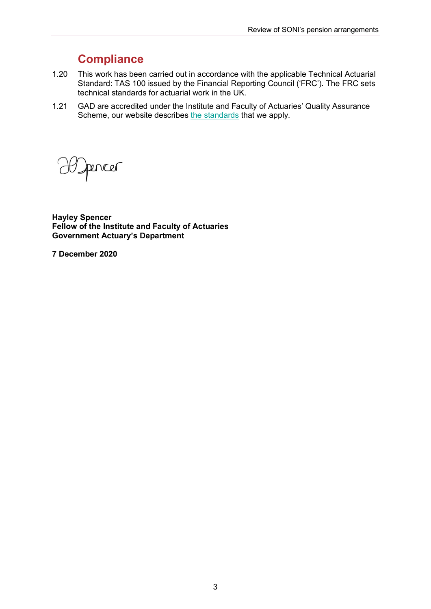### **Compliance**

- 1.20 This work has been carried out in accordance with the applicable Technical Actuarial Standard: TAS 100 issued by the Financial Reporting Council ('FRC'). The FRC sets technical standards for actuarial work in the UK.
- 1.21 GAD are accredited under the Institute and Faculty of Actuaries' Quality Assurance Scheme, our website describes [the standards](https://www.gov.uk/government/organisations/government-actuarys-department/about/terms-of-reference) that we apply.

pencer

**Hayley Spencer Fellow of the Institute and Faculty of Actuaries Government Actuary's Department**

**7 December 2020**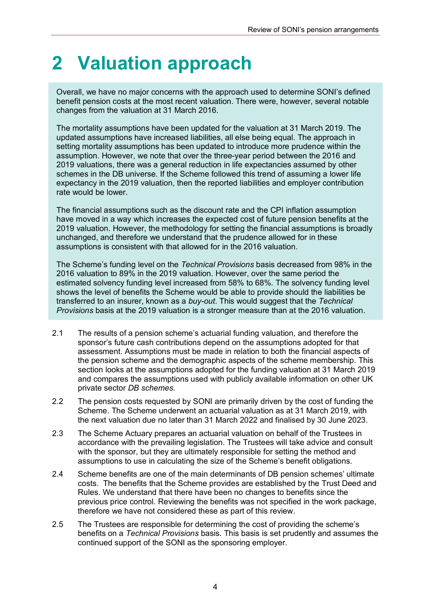## <span id="page-5-0"></span>**2 Valuation approach**

Overall, we have no major concerns with the approach used to determine SONI's defined benefit pension costs at the most recent valuation. There were, however, several notable changes from the valuation at 31 March 2016.

The mortality assumptions have been updated for the valuation at 31 March 2019. The updated assumptions have increased liabilities, all else being equal. The approach in setting mortality assumptions has been updated to introduce more prudence within the assumption. However, we note that over the three-year period between the 2016 and 2019 valuations, there was a general reduction in life expectancies assumed by other schemes in the DB universe. If the Scheme followed this trend of assuming a lower life expectancy in the 2019 valuation, then the reported liabilities and employer contribution rate would be lower.

The financial assumptions such as the discount rate and the CPI inflation assumption have moved in a way which increases the expected cost of future pension benefits at the 2019 valuation. However, the methodology for setting the financial assumptions is broadly unchanged, and therefore we understand that the prudence allowed for in these assumptions is consistent with that allowed for in the 2016 valuation.

The Scheme's funding level on the *Technical Provisions* basis decreased from 98% in the 2016 valuation to 89% in the 2019 valuation. However, over the same period the estimated solvency funding level increased from 58% to 68%. The solvency funding level shows the level of benefits the Scheme would be able to provide should the liabilities be transferred to an insurer, known as a *buy-out*. This would suggest that the *Technical Provisions* basis at the 2019 valuation is a stronger measure than at the 2016 valuation.

- 2.1 The results of a pension scheme's actuarial funding valuation, and therefore the sponsor's future cash contributions depend on the assumptions adopted for that assessment. Assumptions must be made in relation to both the financial aspects of the pension scheme and the demographic aspects of the scheme membership. This section looks at the assumptions adopted for the funding valuation at 31 March 2019 and compares the assumptions used with publicly available information on other UK private sector *DB schemes*.
- 2.2 The pension costs requested by SONI are primarily driven by the cost of funding the Scheme. The Scheme underwent an actuarial valuation as at 31 March 2019, with the next valuation due no later than 31 March 2022 and finalised by 30 June 2023.
- 2.3 The Scheme Actuary prepares an actuarial valuation on behalf of the Trustees in accordance with the prevailing legislation. The Trustees will take advice and consult with the sponsor, but they are ultimately responsible for setting the method and assumptions to use in calculating the size of the Scheme's benefit obligations.
- 2.4 Scheme benefits are one of the main determinants of DB pension schemes' ultimate costs. The benefits that the Scheme provides are established by the Trust Deed and Rules. We understand that there have been no changes to benefits since the previous price control. Reviewing the benefits was not specified in the work package, therefore we have not considered these as part of this review.
- 2.5 The Trustees are responsible for determining the cost of providing the scheme's benefits on a *Technical Provisions* basis. This basis is set prudently and assumes the continued support of the SONI as the sponsoring employer.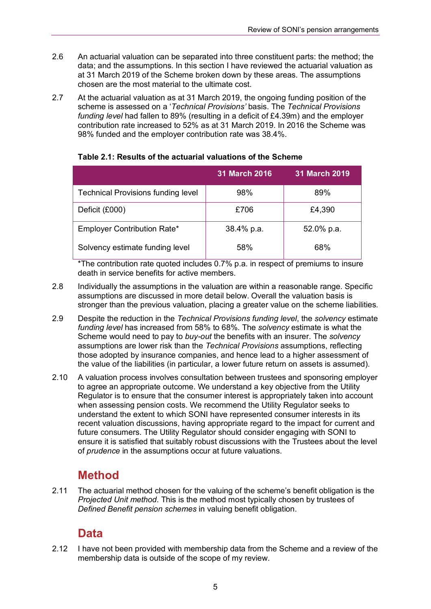- 2.6 An actuarial valuation can be separated into three constituent parts: the method; the data; and the assumptions. In this section I have reviewed the actuarial valuation as at 31 March 2019 of the Scheme broken down by these areas. The assumptions chosen are the most material to the ultimate cost.
- 2.7 At the actuarial valuation as at 31 March 2019, the ongoing funding position of the scheme is assessed on a '*Technical Provisions'* basis. The *Technical Provisions funding level* had fallen to 89% (resulting in a deficit of £4.39m) and the employer contribution rate increased to 52% as at 31 March 2019. In 2016 the Scheme was 98% funded and the employer contribution rate was 38.4%.

|                                           | <b>31 March 2016</b> | <b>31 March 2019</b> |
|-------------------------------------------|----------------------|----------------------|
| <b>Technical Provisions funding level</b> | 98%                  | 89%                  |
| Deficit (£000)                            | £706                 | £4,390               |
| <b>Employer Contribution Rate*</b>        | 38.4% p.a.           | 52.0% p.a.           |
| Solvency estimate funding level           | 58%                  | 68%                  |

#### **Table 2.1: Results of the actuarial valuations of the Scheme**

\*The contribution rate quoted includes 0.7% p.a. in respect of premiums to insure death in service benefits for active members.

- 2.8 Individually the assumptions in the valuation are within a reasonable range. Specific assumptions are discussed in more detail below. Overall the valuation basis is stronger than the previous valuation, placing a greater value on the scheme liabilities.
- 2.9 Despite the reduction in the *Technical Provisions funding level*, the *solvency* estimate *funding level* has increased from 58% to 68%. The *solvency* estimate is what the Scheme would need to pay to *buy-out* the benefits with an insurer. The *solvency* assumptions are lower risk than the *Technical Provisions* assumptions, reflecting those adopted by insurance companies, and hence lead to a higher assessment of the value of the liabilities (in particular, a lower future return on assets is assumed).
- 2.10 A valuation process involves consultation between trustees and sponsoring employer to agree an appropriate outcome. We understand a key objective from the Utility Regulator is to ensure that the consumer interest is appropriately taken into account when assessing pension costs. We recommend the Utility Regulator seeks to understand the extent to which SONI have represented consumer interests in its recent valuation discussions, having appropriate regard to the impact for current and future consumers. The Utility Regulator should consider engaging with SONI to ensure it is satisfied that suitably robust discussions with the Trustees about the level of *prudence* in the assumptions occur at future valuations.

### **Method**

2.11 The actuarial method chosen for the valuing of the scheme's benefit obligation is the *Projected Unit method*. This is the method most typically chosen by trustees of *Defined Benefit pension schemes* in valuing benefit obligation.

### **Data**

2.12 I have not been provided with membership data from the Scheme and a review of the membership data is outside of the scope of my review.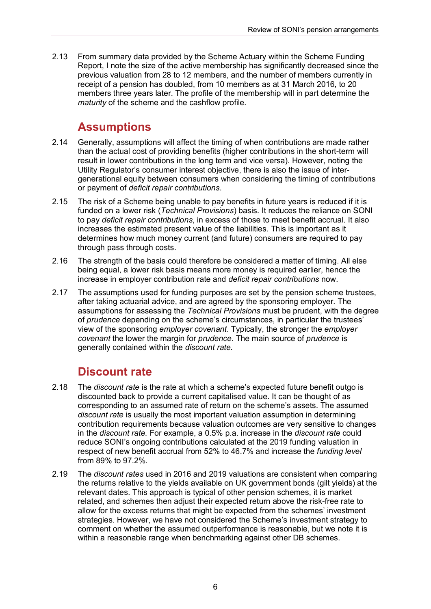2.13 From summary data provided by the Scheme Actuary within the Scheme Funding Report, I note the size of the active membership has significantly decreased since the previous valuation from 28 to 12 members, and the number of members currently in receipt of a pension has doubled, from 10 members as at 31 March 2016, to 20 members three years later. The profile of the membership will in part determine the *maturity* of the scheme and the cashflow profile.

### **Assumptions**

- 2.14 Generally, assumptions will affect the timing of when contributions are made rather than the actual cost of providing benefits (higher contributions in the short-term will result in lower contributions in the long term and vice versa). However, noting the Utility Regulator's consumer interest objective, there is also the issue of intergenerational equity between consumers when considering the timing of contributions or payment of *deficit repair contributions*.
- 2.15 The risk of a Scheme being unable to pay benefits in future years is reduced if it is funded on a lower risk (*Technical Provisions*) basis. It reduces the reliance on SONI to pay *deficit repair contributions*, in excess of those to meet benefit accrual. It also increases the estimated present value of the liabilities. This is important as it determines how much money current (and future) consumers are required to pay through pass through costs.
- 2.16 The strength of the basis could therefore be considered a matter of timing. All else being equal, a lower risk basis means more money is required earlier, hence the increase in employer contribution rate and *deficit repair contributions* now.
- 2.17 The assumptions used for funding purposes are set by the pension scheme trustees, after taking actuarial advice, and are agreed by the sponsoring employer. The assumptions for assessing the *Technical Provisions* must be prudent, with the degree of *prudence* depending on the scheme's circumstances, in particular the trustees' view of the sponsoring *employer covenant*. Typically, the stronger the *employer covenant* the lower the margin for *prudence*. The main source of *prudence* is generally contained within the *discount rate.*

## **Discount rate**

- 2.18 The *discount rate* is the rate at which a scheme's expected future benefit outgo is discounted back to provide a current capitalised value. It can be thought of as corresponding to an assumed rate of return on the scheme's assets. The assumed *discount rate* is usually the most important valuation assumption in determining contribution requirements because valuation outcomes are very sensitive to changes in the *discount rate.* For example, a 0.5% p.a. increase in the *discount rate* could reduce SONI's ongoing contributions calculated at the 2019 funding valuation in respect of new benefit accrual from 52% to 46.7% and increase the *funding level* from 89% to 97.2%.
- 2.19 The *discount rates* used in 2016 and 2019 valuations are consistent when comparing the returns relative to the yields available on UK government bonds (gilt yields) at the relevant dates. This approach is typical of other pension schemes, it is market related, and schemes then adjust their expected return above the risk-free rate to allow for the excess returns that might be expected from the schemes' investment strategies. However, we have not considered the Scheme's investment strategy to comment on whether the assumed outperformance is reasonable, but we note it is within a reasonable range when benchmarking against other DB schemes.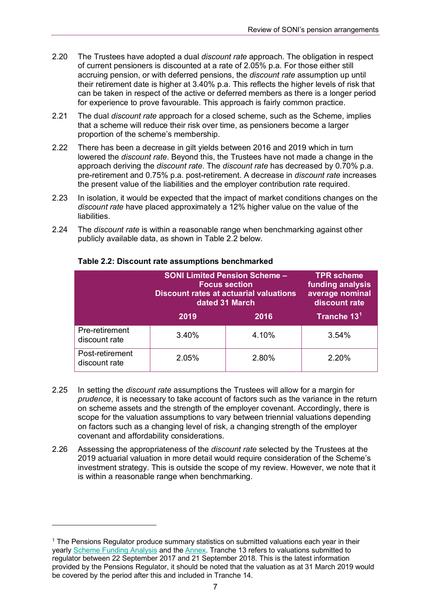- 2.20 The Trustees have adopted a dual *discount rate* approach. The obligation in respect of current pensioners is discounted at a rate of 2.05% p.a. For those either still accruing pension, or with deferred pensions, the *discount rate* assumption up until their retirement date is higher at 3.40% p.a. This reflects the higher levels of risk that can be taken in respect of the active or deferred members as there is a longer period for experience to prove favourable. This approach is fairly common practice.
- 2.21 The dual *discount rate* approach for a closed scheme, such as the Scheme, implies that a scheme will reduce their risk over time, as pensioners become a larger proportion of the scheme's membership.
- 2.22 There has been a decrease in gilt yields between 2016 and 2019 which in turn lowered the *discount rate*. Beyond this, the Trustees have not made a change in the approach deriving the *discount rate*. The *discount rate* has decreased by 0.70% p.a. pre-retirement and 0.75% p.a. post-retirement. A decrease in *discount rate* increases the present value of the liabilities and the employer contribution rate required.
- 2.23 In isolation, it would be expected that the impact of market conditions changes on the *discount rate* have placed approximately a 12% higher value on the value of the liabilities.
- 2.24 The *discount rate* is within a reasonable range when benchmarking against other publicly available data, as shown in Table 2.2 below.

|                                  | <b>SONI Limited Pension Scheme -</b><br><b>Focus section</b><br><b>Discount rates at actuarial valuations</b><br>dated 31 March |       | <b>TPR scheme</b><br>funding analysis<br>average nominal<br>discount rate |
|----------------------------------|---------------------------------------------------------------------------------------------------------------------------------|-------|---------------------------------------------------------------------------|
|                                  | 2019                                                                                                                            | 2016  | Tranche 13 <sup>1</sup>                                                   |
| Pre-retirement<br>discount rate  | 3.40%                                                                                                                           | 4.10% | 3.54%                                                                     |
| Post-retirement<br>discount rate | 2.05%                                                                                                                           | 2.80% | 2.20%                                                                     |

#### **Table 2.2: Discount rate assumptions benchmarked**

- 2.25 In setting the *discount rate* assumptions the Trustees will allow for a margin for *prudence*, it is necessary to take account of factors such as the variance in the return on scheme assets and the strength of the employer covenant. Accordingly, there is scope for the valuation assumptions to vary between triennial valuations depending on factors such as a changing level of risk, a changing strength of the employer covenant and affordability considerations.
- 2.26 Assessing the appropriateness of the *discount rate* selected by the Trustees at the 2019 actuarial valuation in more detail would require consideration of the Scheme's investment strategy. This is outside the scope of my review. However, we note that it is within a reasonable range when benchmarking.

<span id="page-8-0"></span> $1$  The Pensions Regulator produce summary statistics on submitted valuations each year in their yearly [Scheme Funding Analysis](https://www.thepensionsregulator.gov.uk/en/document-library/research-and-analysis/scheme-funding-analysis-2020/scheme-funding-analysis-2020-annex) and the [Annex.](https://www.thepensionsregulator.gov.uk/en/document-library/research-and-analysis/scheme-funding-analysis-2020/scheme-funding-analysis-2020-annex) Tranche 13 refers to valuations submitted to regulator between 22 September 2017 and 21 September 2018. This is the latest information provided by the Pensions Regulator, it should be noted that the valuation as at 31 March 2019 would be covered by the period after this and included in Tranche 14.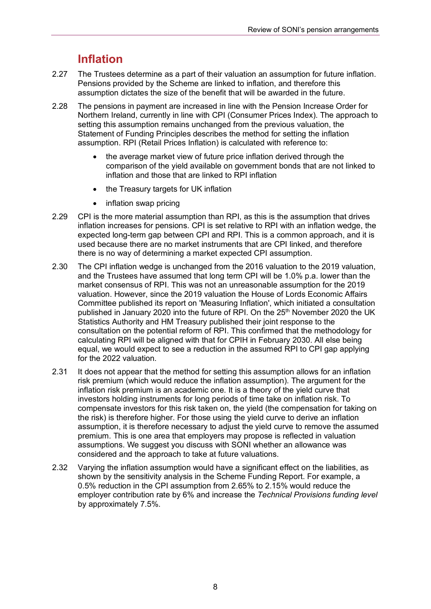### **Inflation**

- 2.27 The Trustees determine as a part of their valuation an assumption for future inflation. Pensions provided by the Scheme are linked to inflation, and therefore this assumption dictates the size of the benefit that will be awarded in the future.
- 2.28 The pensions in payment are increased in line with the Pension Increase Order for Northern Ireland, currently in line with CPI (Consumer Prices Index). The approach to setting this assumption remains unchanged from the previous valuation, the Statement of Funding Principles describes the method for setting the inflation assumption. RPI (Retail Prices Inflation) is calculated with reference to:
	- the average market view of future price inflation derived through the comparison of the yield available on government bonds that are not linked to inflation and those that are linked to RPI inflation
	- the Treasury targets for UK inflation
	- inflation swap pricing
- 2.29 CPI is the more material assumption than RPI, as this is the assumption that drives inflation increases for pensions. CPI is set relative to RPI with an inflation wedge, the expected long-term gap between CPI and RPI. This is a common approach, and it is used because there are no market instruments that are CPI linked, and therefore there is no way of determining a market expected CPI assumption.
- 2.30 The CPI inflation wedge is unchanged from the 2016 valuation to the 2019 valuation, and the Trustees have assumed that long term CPI will be 1.0% p.a. lower than the market consensus of RPI. This was not an unreasonable assumption for the 2019 valuation. However, since the 2019 valuation the House of Lords Economic Affairs Committee published its report on 'Measuring Inflation', which initiated a consultation published in January 2020 into the future of RPI. On the 25<sup>th</sup> November 2020 the UK Statistics Authority and HM Treasury published their joint response to the consultation on the potential reform of RPI. This confirmed that the methodology for calculating RPI will be aligned with that for CPIH in February 2030. All else being equal, we would expect to see a reduction in the assumed RPI to CPI gap applying for the 2022 valuation.
- 2.31 It does not appear that the method for setting this assumption allows for an inflation risk premium (which would reduce the inflation assumption). The argument for the inflation risk premium is an academic one. It is a theory of the yield curve that investors holding instruments for long periods of time take on inflation risk. To compensate investors for this risk taken on, the yield (the compensation for taking on the risk) is therefore higher. For those using the yield curve to derive an inflation assumption, it is therefore necessary to adjust the yield curve to remove the assumed premium. This is one area that employers may propose is reflected in valuation assumptions. We suggest you discuss with SONI whether an allowance was considered and the approach to take at future valuations.
- 2.32 Varying the inflation assumption would have a significant effect on the liabilities, as shown by the sensitivity analysis in the Scheme Funding Report. For example, a 0.5% reduction in the CPI assumption from 2.65% to 2.15% would reduce the employer contribution rate by 6% and increase the *Technical Provisions funding level* by approximately 7.5%.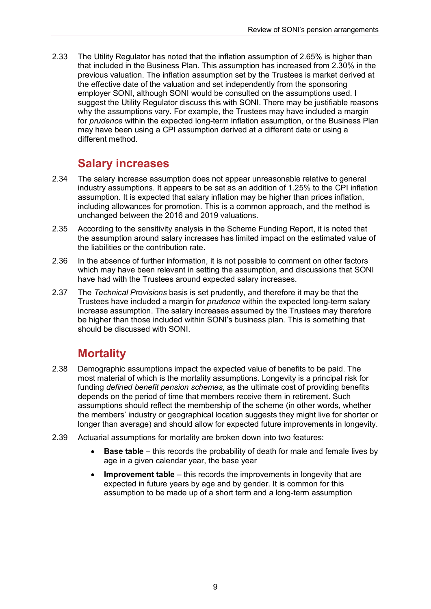2.33 The Utility Regulator has noted that the inflation assumption of 2.65% is higher than that included in the Business Plan. This assumption has increased from 2.30% in the previous valuation. The inflation assumption set by the Trustees is market derived at the effective date of the valuation and set independently from the sponsoring employer SONI, although SONI would be consulted on the assumptions used. I suggest the Utility Regulator discuss this with SONI. There may be justifiable reasons why the assumptions vary. For example, the Trustees may have included a margin for *prudence* within the expected long-term inflation assumption, or the Business Plan may have been using a CPI assumption derived at a different date or using a different method.

### **Salary increases**

- 2.34 The salary increase assumption does not appear unreasonable relative to general industry assumptions. It appears to be set as an addition of 1.25% to the CPI inflation assumption. It is expected that salary inflation may be higher than prices inflation, including allowances for promotion. This is a common approach, and the method is unchanged between the 2016 and 2019 valuations.
- 2.35 According to the sensitivity analysis in the Scheme Funding Report, it is noted that the assumption around salary increases has limited impact on the estimated value of the liabilities or the contribution rate.
- 2.36 In the absence of further information, it is not possible to comment on other factors which may have been relevant in setting the assumption, and discussions that SONI have had with the Trustees around expected salary increases.
- 2.37 The *Technical Provisions* basis is set prudently, and therefore it may be that the Trustees have included a margin for *prudence* within the expected long-term salary increase assumption. The salary increases assumed by the Trustees may therefore be higher than those included within SONI's business plan. This is something that should be discussed with SONI.

## **Mortality**

- 2.38 Demographic assumptions impact the expected value of benefits to be paid. The most material of which is the mortality assumptions. Longevity is a principal risk for funding *defined benefit pension schemes*, as the ultimate cost of providing benefits depends on the period of time that members receive them in retirement. Such assumptions should reflect the membership of the scheme (in other words, whether the members' industry or geographical location suggests they might live for shorter or longer than average) and should allow for expected future improvements in longevity.
- 2.39 Actuarial assumptions for mortality are broken down into two features:
	- **Base table** this records the probability of death for male and female lives by age in a given calendar year, the base year
	- **Improvement table** this records the improvements in longevity that are expected in future years by age and by gender. It is common for this assumption to be made up of a short term and a long-term assumption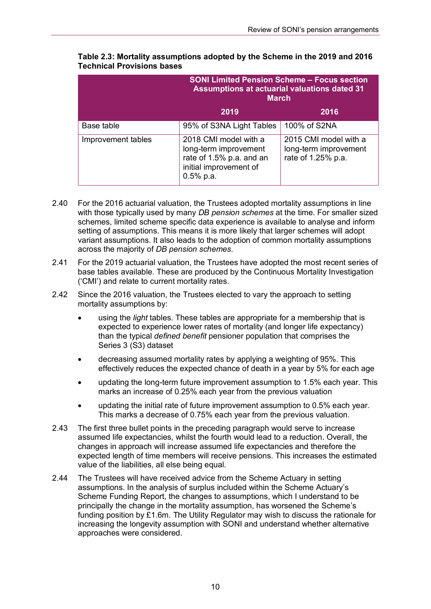|                    | <b>SONI Limited Pension Scheme - Focus section</b><br><b>Assumptions at actuarial valuations dated 31</b><br><b>March</b> |                                                                      |  |
|--------------------|---------------------------------------------------------------------------------------------------------------------------|----------------------------------------------------------------------|--|
|                    | 2019                                                                                                                      | 2016                                                                 |  |
| Base table         | 95% of S3NA Light Tables                                                                                                  | 100% of S2NA                                                         |  |
| Improvement tables | 2018 CMI model with a<br>long-term improvement<br>rate of 1.5% p.a. and an<br>initial improvement of<br>$0.5%$ p.a.       | 2015 CMI model with a<br>long-term improvement<br>rate of 1.25% p.a. |  |

#### **Table 2.3: Mortality assumptions adopted by the Scheme in the 2019 and 2016 Technical Provisions bases**

- 2.40 For the 2016 actuarial valuation, the Trustees adopted mortality assumptions in line with those typically used by many *DB pension schemes* at the time. For smaller sized schemes, limited scheme specific data experience is available to analyse and inform setting of assumptions. This means it is more likely that larger schemes will adopt variant assumptions. It also leads to the adoption of common mortality assumptions across the majority of *DB pension schemes*.
- 2.41 For the 2019 actuarial valuation, the Trustees have adopted the most recent series of base tables available. These are produced by the Continuous Mortality Investigation ('CMI') and relate to current mortality rates.
- 2.42 Since the 2016 valuation, the Trustees elected to vary the approach to setting mortality assumptions by:
	- using the *light* tables. These tables are appropriate for a membership that is expected to experience lower rates of mortality (and longer life expectancy) than the typical *defined benefit* pensioner population that comprises the Series 3 (S3) dataset
	- decreasing assumed mortality rates by applying a weighting of 95%. This effectively reduces the expected chance of death in a year by 5% for each age
	- updating the long-term future improvement assumption to 1.5% each year. This marks an increase of 0.25% each year from the previous valuation
	- updating the initial rate of future improvement assumption to 0.5% each year. This marks a decrease of 0.75% each year from the previous valuation.
- 2.43 The first three bullet points in the preceding paragraph would serve to increase assumed life expectancies, whilst the fourth would lead to a reduction. Overall, the changes in approach will increase assumed life expectancies and therefore the expected length of time members will receive pensions. This increases the estimated value of the liabilities, all else being equal.
- 2.44 The Trustees will have received advice from the Scheme Actuary in setting assumptions. In the analysis of surplus included within the Scheme Actuary's Scheme Funding Report, the changes to assumptions, which I understand to be principally the change in the mortality assumption, has worsened the Scheme's funding position by £1.6m. The Utility Regulator may wish to discuss the rationale for increasing the longevity assumption with SONI and understand whether alternative approaches were considered.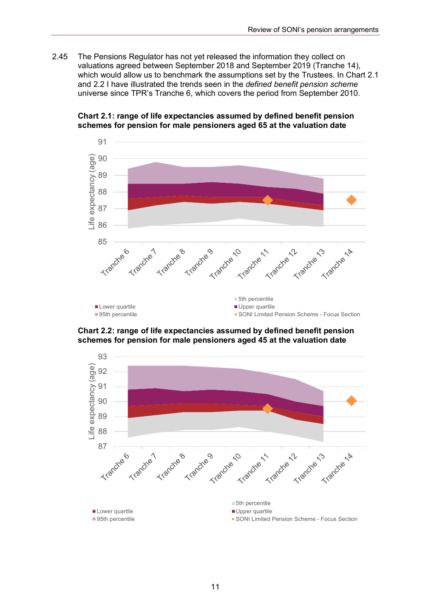2.45 The Pensions Regulator has not yet released the information they collect on valuations agreed between September 2018 and September 2019 (Tranche 14), which would allow us to benchmark the assumptions set by the Trustees. In Chart 2.1 and 2.2 I have illustrated the trends seen in the *defined benefit pension scheme* universe since TPR's Tranche 6, which covers the period from September 2010.



**Chart 2.1: range of life expectancies assumed by defined benefit pension schemes for pension for male pensioners aged 65 at the valuation date**

**Chart 2.2: range of life expectancies assumed by defined benefit pension schemes for pension for male pensioners aged 45 at the valuation date**

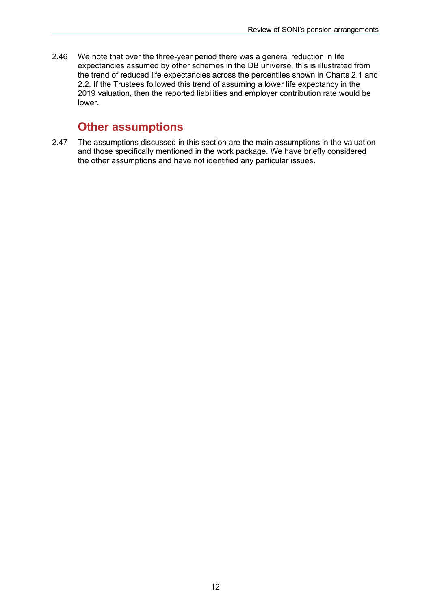2.46 We note that over the three-year period there was a general reduction in life expectancies assumed by other schemes in the DB universe, this is illustrated from the trend of reduced life expectancies across the percentiles shown in Charts 2.1 and 2.2. If the Trustees followed this trend of assuming a lower life expectancy in the 2019 valuation, then the reported liabilities and employer contribution rate would be lower.

### **Other assumptions**

2.47 The assumptions discussed in this section are the main assumptions in the valuation and those specifically mentioned in the work package. We have briefly considered the other assumptions and have not identified any particular issues.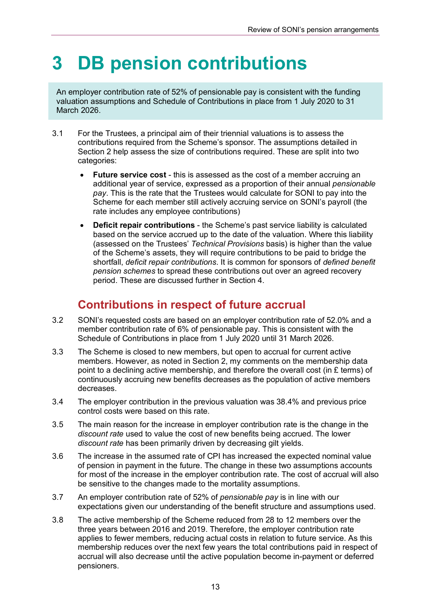## <span id="page-14-0"></span>**3 DB pension contributions**

An employer contribution rate of 52% of pensionable pay is consistent with the funding valuation assumptions and Schedule of Contributions in place from 1 July 2020 to 31 March 2026.

- 3.1 For the Trustees, a principal aim of their triennial valuations is to assess the contributions required from the Scheme's sponsor. The assumptions detailed in Section 2 help assess the size of contributions required. These are split into two categories:
	- **Future service cost** this is assessed as the cost of a member accruing an additional year of service, expressed as a proportion of their annual *pensionable pay*. This is the rate that the Trustees would calculate for SONI to pay into the Scheme for each member still actively accruing service on SONI's payroll (the rate includes any employee contributions)
	- **Deficit repair contributions** the Scheme's past service liability is calculated based on the service accrued up to the date of the valuation. Where this liability (assessed on the Trustees' *Technical Provisions* basis) is higher than the value of the Scheme's assets, they will require contributions to be paid to bridge the shortfall, *deficit repair contributions*. It is common for sponsors of *defined benefit pension schemes* to spread these contributions out over an agreed recovery period. These are discussed further in Section 4.

### **Contributions in respect of future accrual**

- 3.2 SONI's requested costs are based on an employer contribution rate of 52.0% and a member contribution rate of 6% of pensionable pay. This is consistent with the Schedule of Contributions in place from 1 July 2020 until 31 March 2026.
- 3.3 The Scheme is closed to new members, but open to accrual for current active members. However, as noted in Section 2, my comments on the membership data point to a declining active membership, and therefore the overall cost (in £ terms) of continuously accruing new benefits decreases as the population of active members decreases.
- 3.4 The employer contribution in the previous valuation was 38.4% and previous price control costs were based on this rate.
- 3.5 The main reason for the increase in employer contribution rate is the change in the *discount rate* used to value the cost of new benefits being accrued. The lower *discount rate* has been primarily driven by decreasing gilt yields.
- 3.6 The increase in the assumed rate of CPI has increased the expected nominal value of pension in payment in the future. The change in these two assumptions accounts for most of the increase in the employer contribution rate. The cost of accrual will also be sensitive to the changes made to the mortality assumptions.
- 3.7 An employer contribution rate of 52% of *pensionable pay* is in line with our expectations given our understanding of the benefit structure and assumptions used.
- 3.8 The active membership of the Scheme reduced from 28 to 12 members over the three years between 2016 and 2019. Therefore, the employer contribution rate applies to fewer members, reducing actual costs in relation to future service. As this membership reduces over the next few years the total contributions paid in respect of accrual will also decrease until the active population become in-payment or deferred pensioners.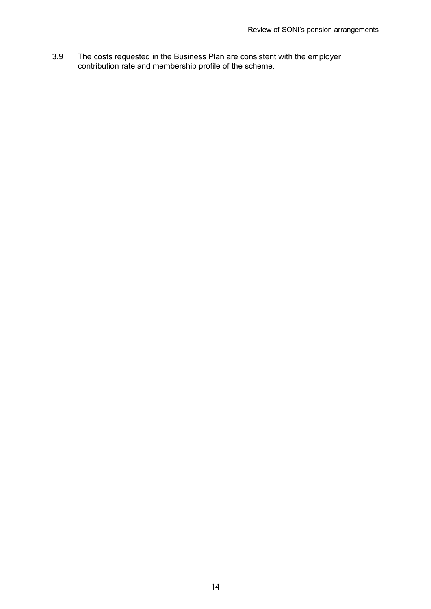3.9 The costs requested in the Business Plan are consistent with the employer contribution rate and membership profile of the scheme.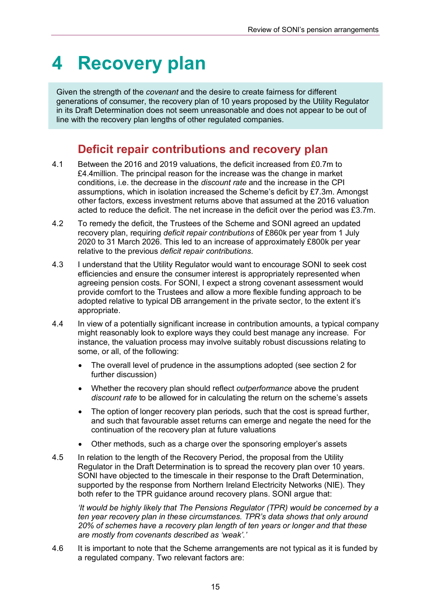## <span id="page-16-0"></span>**4 Recovery plan**

Given the strength of the *covenant* and the desire to create fairness for different generations of consumer, the recovery plan of 10 years proposed by the Utility Regulator in its Draft Determination does not seem unreasonable and does not appear to be out of line with the recovery plan lengths of other regulated companies.

### **Deficit repair contributions and recovery plan**

- 4.1 Between the 2016 and 2019 valuations, the deficit increased from £0.7m to £4.4million. The principal reason for the increase was the change in market conditions, i.e. the decrease in the *discount rate* and the increase in the CPI assumptions, which in isolation increased the Scheme's deficit by £7.3m. Amongst other factors, excess investment returns above that assumed at the 2016 valuation acted to reduce the deficit. The net increase in the deficit over the period was £3.7m.
- 4.2 To remedy the deficit, the Trustees of the Scheme and SONI agreed an updated recovery plan, requiring *deficit repair contributions* of £860k per year from 1 July 2020 to 31 March 2026. This led to an increase of approximately £800k per year relative to the previous *deficit repair contributions*.
- 4.3 I understand that the Utility Regulator would want to encourage SONI to seek cost efficiencies and ensure the consumer interest is appropriately represented when agreeing pension costs. For SONI, I expect a strong covenant assessment would provide comfort to the Trustees and allow a more flexible funding approach to be adopted relative to typical DB arrangement in the private sector, to the extent it's appropriate.
- 4.4 In view of a potentially significant increase in contribution amounts, a typical company might reasonably look to explore ways they could best manage any increase. For instance, the valuation process may involve suitably robust discussions relating to some, or all, of the following:
	- The overall level of prudence in the assumptions adopted (see section 2 for further discussion)
	- Whether the recovery plan should reflect *outperformance* above the prudent *discount rate* to be allowed for in calculating the return on the scheme's assets
	- The option of longer recovery plan periods, such that the cost is spread further, and such that favourable asset returns can emerge and negate the need for the continuation of the recovery plan at future valuations
	- Other methods, such as a charge over the sponsoring employer's assets
- 4.5 In relation to the length of the Recovery Period, the proposal from the Utility Regulator in the Draft Determination is to spread the recovery plan over 10 years. SONI have objected to the timescale in their response to the Draft Determination, supported by the response from Northern Ireland Electricity Networks (NIE). They both refer to the TPR guidance around recovery plans. SONI argue that:

*'It would be highly likely that The Pensions Regulator (TPR) would be concerned by a ten year recovery plan in these circumstances. TPR's data shows that only around 20% of schemes have a recovery plan length of ten years or longer and that these are mostly from covenants described as 'weak'.'* 

4.6 It is important to note that the Scheme arrangements are not typical as it is funded by a regulated company. Two relevant factors are: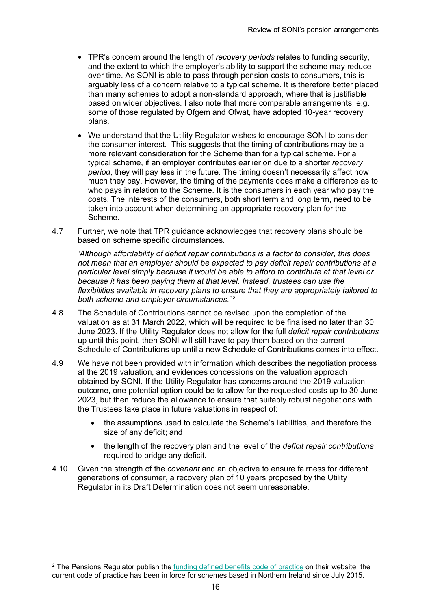- TPR's concern around the length of *recovery periods* relates to funding security, and the extent to which the employer's ability to support the scheme may reduce over time. As SONI is able to pass through pension costs to consumers, this is arguably less of a concern relative to a typical scheme. It is therefore better placed than many schemes to adopt a non-standard approach, where that is justifiable based on wider objectives. I also note that more comparable arrangements, e.g. some of those regulated by Ofgem and Ofwat, have adopted 10-year recovery plans.
- We understand that the Utility Regulator wishes to encourage SONI to consider the consumer interest. This suggests that the timing of contributions may be a more relevant consideration for the Scheme than for a typical scheme. For a typical scheme, if an employer contributes earlier on due to a shorter *recovery period*, they will pay less in the future. The timing doesn't necessarily affect how much they pay. However, the timing of the payments does make a difference as to who pays in relation to the Scheme. It is the consumers in each year who pay the costs. The interests of the consumers, both short term and long term, need to be taken into account when determining an appropriate recovery plan for the Scheme.
- 4.7 Further, we note that TPR guidance acknowledges that recovery plans should be based on scheme specific circumstances.

*'Although affordability of deficit repair contributions is a factor to consider, this does not mean that an employer should be expected to pay deficit repair contributions at a particular level simply because it would be able to afford to contribute at that level or because it has been paying them at that level. Instead, trustees can use the flexibilities available in recovery plans to ensure that they are appropriately tailored to both scheme and employer circumstances.'* [2](#page-17-0)

- 4.8 The Schedule of Contributions cannot be revised upon the completion of the valuation as at 31 March 2022, which will be required to be finalised no later than 30 June 2023. If the Utility Regulator does not allow for the full *deficit repair contributions* up until this point, then SONI will still have to pay them based on the current Schedule of Contributions up until a new Schedule of Contributions comes into effect.
- 4.9 We have not been provided with information which describes the negotiation process at the 2019 valuation, and evidences concessions on the valuation approach obtained by SONI. If the Utility Regulator has concerns around the 2019 valuation outcome, one potential option could be to allow for the requested costs up to 30 June 2023, but then reduce the allowance to ensure that suitably robust negotiations with the Trustees take place in future valuations in respect of:
	- the assumptions used to calculate the Scheme's liabilities, and therefore the size of any deficit; and
	- the length of the recovery plan and the level of the *deficit repair contributions* required to bridge any deficit.
- 4.10 Given the strength of the *covenant* and an objective to ensure fairness for different generations of consumer, a recovery plan of 10 years proposed by the Utility Regulator in its Draft Determination does not seem unreasonable.

<span id="page-17-0"></span> $<sup>2</sup>$  The Pensions Regulator publish th[e funding defined benefits code of practice](https://www.thepensionsregulator.gov.uk/en/document-library/codes-of-practice/code-3-funding-defined-benefits-) on their website, the</sup> current code of practice has been in force for schemes based in Northern Ireland since July 2015.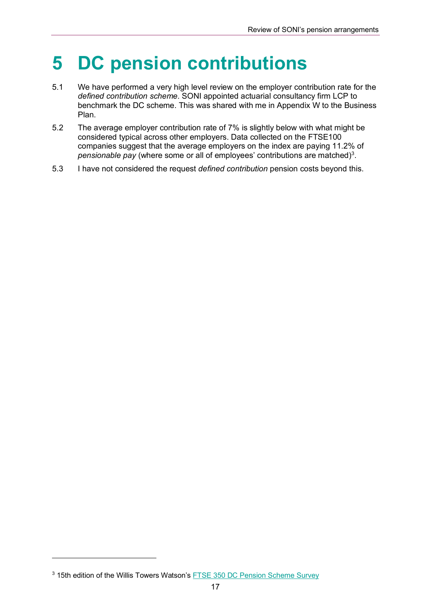## <span id="page-18-0"></span>**5 DC pension contributions**

- 5.1 We have performed a very high level review on the employer contribution rate for the *defined contribution scheme*. SONI appointed actuarial consultancy firm LCP to benchmark the DC scheme. This was shared with me in Appendix W to the Business Plan.
- 5.2 The average employer contribution rate of 7% is slightly below with what might be considered typical across other employers. Data collected on the FTSE100 companies suggest that the average employers on the index are paying 11.2% of *pensionable pay* (where some or all of employees' contributions are matched)<sup>[3](#page-18-1)</sup>.
- 5.3 I have not considered the request *defined contribution* pension costs beyond this.

<span id="page-18-1"></span><sup>&</sup>lt;sup>3</sup> 15th edition of the Willis Towers Watson's [FTSE 350 DC Pension Scheme Survey](https://www.willistowerswatson.com/en-GB/Insights/2020/07/ftse-350-defined-contribution-pension-survey-2020)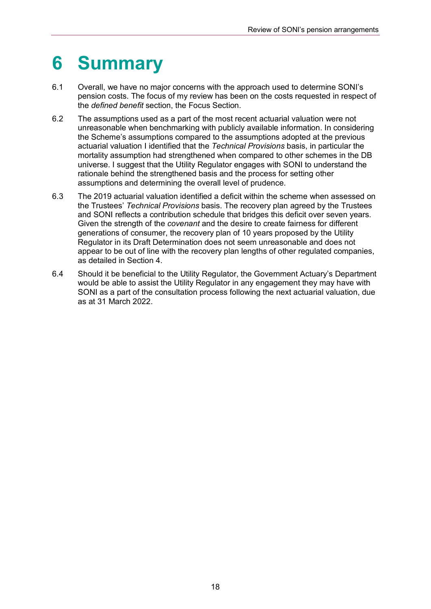## <span id="page-19-0"></span>**6 Summary**

- 6.1 Overall, we have no major concerns with the approach used to determine SONI's pension costs. The focus of my review has been on the costs requested in respect of the *defined benefit* section, the Focus Section.
- 6.2 The assumptions used as a part of the most recent actuarial valuation were not unreasonable when benchmarking with publicly available information. In considering the Scheme's assumptions compared to the assumptions adopted at the previous actuarial valuation I identified that the *Technical Provisions* basis, in particular the mortality assumption had strengthened when compared to other schemes in the DB universe. I suggest that the Utility Regulator engages with SONI to understand the rationale behind the strengthened basis and the process for setting other assumptions and determining the overall level of prudence.
- 6.3 The 2019 actuarial valuation identified a deficit within the scheme when assessed on the Trustees' *Technical Provisions* basis. The recovery plan agreed by the Trustees and SONI reflects a contribution schedule that bridges this deficit over seven years. Given the strength of the *covenant* and the desire to create fairness for different generations of consumer, the recovery plan of 10 years proposed by the Utility Regulator in its Draft Determination does not seem unreasonable and does not appear to be out of line with the recovery plan lengths of other regulated companies, as detailed in Section 4.
- 6.4 Should it be beneficial to the Utility Regulator, the Government Actuary's Department would be able to assist the Utility Regulator in any engagement they may have with SONI as a part of the consultation process following the next actuarial valuation, due as at 31 March 2022.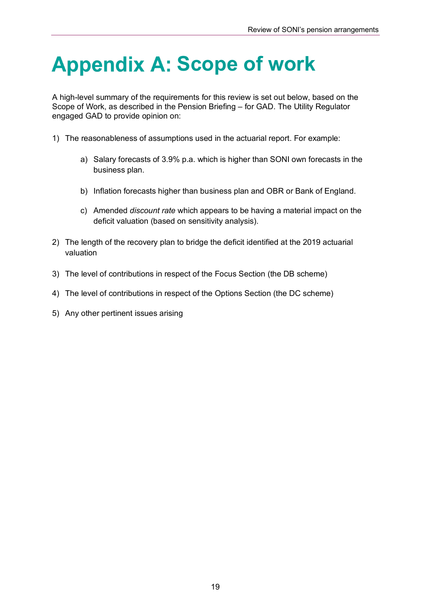# <span id="page-20-0"></span>**Appendix A: Scope of work**

A high-level summary of the requirements for this review is set out below, based on the Scope of Work, as described in the Pension Briefing – for GAD. The Utility Regulator engaged GAD to provide opinion on:

- 1) The reasonableness of assumptions used in the actuarial report. For example:
	- a) Salary forecasts of 3.9% p.a. which is higher than SONI own forecasts in the business plan.
	- b) Inflation forecasts higher than business plan and OBR or Bank of England.
	- c) Amended *discount rate* which appears to be having a material impact on the deficit valuation (based on sensitivity analysis).
- 2) The length of the recovery plan to bridge the deficit identified at the 2019 actuarial valuation
- 3) The level of contributions in respect of the Focus Section (the DB scheme)
- 4) The level of contributions in respect of the Options Section (the DC scheme)
- 5) Any other pertinent issues arising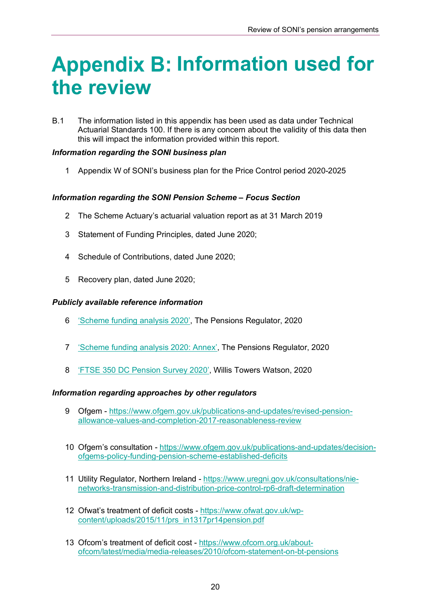## <span id="page-21-0"></span>**Appendix B: Information used for the review**

B.1 The information listed in this appendix has been used as data under Technical Actuarial Standards 100. If there is any concern about the validity of this data then this will impact the information provided within this report.

#### *Information regarding the SONI business plan*

1 Appendix W of SONI's business plan for the Price Control period 2020-2025

#### *Information regarding the SONI Pension Scheme – Focus Section*

- 2 The Scheme Actuary's actuarial valuation report as at 31 March 2019
- 3 Statement of Funding Principles, dated June 2020;
- 4 Schedule of Contributions, dated June 2020;
- 5 Recovery plan, dated June 2020;

#### *Publicly available reference information*

- 6 ['Scheme funding analysis 2020',](https://www.thepensionsregulator.gov.uk/en/document-library/research-and-analysis/scheme-funding-analysis-2020/scheme-funding-analysis-2020-annex) The Pensions Regulator, 2020
- 7 ['Scheme funding analysis 2020: Annex'](https://www.thepensionsregulator.gov.uk/en/document-library/research-and-analysis/scheme-funding-analysis-2020/scheme-funding-analysis-2020-annex), The Pensions Regulator, 2020
- 8 ['FTSE 350 DC Pension Survey 2020'](https://www.willistowerswatson.com/en-GB/Insights/2020/07/ftse-350-defined-contribution-pension-survey-2020), Willis Towers Watson, 2020

#### *Information regarding approaches by other regulators*

- 9 Ofgem [https://www.ofgem.gov.uk/publications-and-updates/revised-pension](https://www.ofgem.gov.uk/publications-and-updates/revised-pension-allowance-values-and-completion-2017-reasonableness-review)[allowance-values-and-completion-2017-reasonableness-review](https://www.ofgem.gov.uk/publications-and-updates/revised-pension-allowance-values-and-completion-2017-reasonableness-review)
- 10 Ofgem's consultation [https://www.ofgem.gov.uk/publications-and-updates/decision](https://www.ofgem.gov.uk/publications-and-updates/decision-ofgems-policy-funding-pension-scheme-established-deficits)[ofgems-policy-funding-pension-scheme-established-deficits](https://www.ofgem.gov.uk/publications-and-updates/decision-ofgems-policy-funding-pension-scheme-established-deficits)
- 11 Utility Regulator, Northern Ireland [https://www.uregni.gov.uk/consultations/nie](https://www.uregni.gov.uk/consultations/nie-networks-transmission-and-distribution-price-control-rp6-draft-determination)[networks-transmission-and-distribution-price-control-rp6-draft-determination](https://www.uregni.gov.uk/consultations/nie-networks-transmission-and-distribution-price-control-rp6-draft-determination)
- 12 Ofwat's treatment of deficit costs [https://www.ofwat.gov.uk/wp](https://www.ofwat.gov.uk/wp-content/uploads/2015/11/prs_in1317pr14pension.pdf)[content/uploads/2015/11/prs\\_in1317pr14pension.pdf](https://www.ofwat.gov.uk/wp-content/uploads/2015/11/prs_in1317pr14pension.pdf)
- 13 Ofcom's treatment of deficit cost [https://www.ofcom.org.uk/about](https://www.ofcom.org.uk/about-ofcom/latest/media/media-releases/2010/ofcom-statement-on-bt-pensions)[ofcom/latest/media/media-releases/2010/ofcom-statement-on-bt-pensions](https://www.ofcom.org.uk/about-ofcom/latest/media/media-releases/2010/ofcom-statement-on-bt-pensions)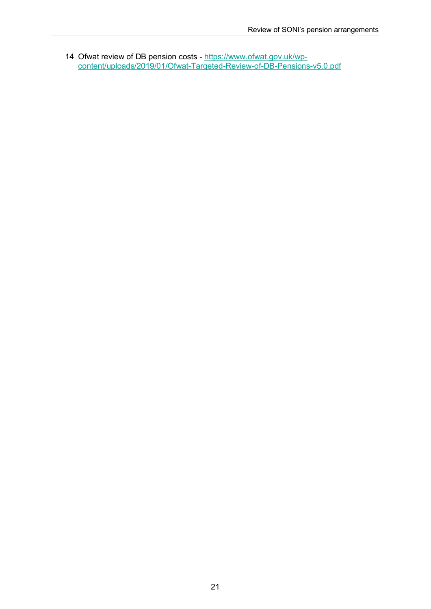14 Ofwat review of DB pension costs - [https://www.ofwat.gov.uk/wp](https://www.ofwat.gov.uk/wp-content/uploads/2019/01/Ofwat-Targeted-Review-of-DB-Pensions-v5.0.pdf)[content/uploads/2019/01/Ofwat-Targeted-Review-of-DB-Pensions-v5.0.pdf](https://www.ofwat.gov.uk/wp-content/uploads/2019/01/Ofwat-Targeted-Review-of-DB-Pensions-v5.0.pdf)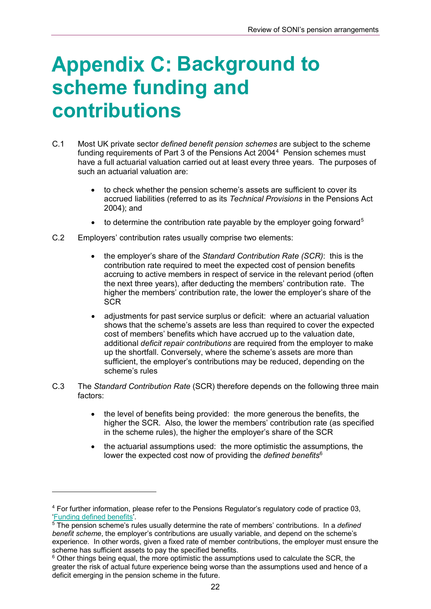## <span id="page-23-0"></span>**Appendix C: Background to scheme funding and contributions**

- C.1 Most UK private sector *defined benefit pension schemes* are subject to the scheme funding requirements of Part 3 of the Pensions Act 200[4](#page-23-1)<sup>4</sup> Pension schemes must have a full actuarial valuation carried out at least every three years. The purposes of such an actuarial valuation are:
	- to check whether the pension scheme's assets are sufficient to cover its accrued liabilities (referred to as its *Technical Provisions* in the Pensions Act 2004); and
	- to determine the contribution rate payable by the employer going forward<sup>[5](#page-23-2)</sup>
- C.2 Employers' contribution rates usually comprise two elements:
	- the employer's share of the *Standard Contribution Rate (SCR)*: this is the contribution rate required to meet the expected cost of pension benefits accruing to active members in respect of service in the relevant period (often the next three years), after deducting the members' contribution rate. The higher the members' contribution rate, the lower the employer's share of the **SCR**
	- adjustments for past service surplus or deficit: where an actuarial valuation shows that the scheme's assets are less than required to cover the expected cost of members' benefits which have accrued up to the valuation date, additional *deficit repair contributions* are required from the employer to make up the shortfall. Conversely, where the scheme's assets are more than sufficient, the employer's contributions may be reduced, depending on the scheme's rules
- C.3 The *Standard Contribution Rate* (SCR) therefore depends on the following three main factors:
	- the level of benefits being provided: the more generous the benefits, the higher the SCR. Also, the lower the members' contribution rate (as specified in the scheme rules), the higher the employer's share of the SCR
	- the actuarial assumptions used: the more optimistic the assumptions, the lower the expected cost now of providing the *defined benefits*[6](#page-23-3)

<span id="page-23-1"></span><sup>4</sup> For further information, please refer to the Pensions Regulator's regulatory code of practice 03, ['Funding defined benefits'.](http://www.thepensionsregulator.gov.uk/docs/code-03-funding-defined-benefits.pdf)

<span id="page-23-2"></span><sup>5</sup> The pension scheme's rules usually determine the rate of members' contributions. In a *defined benefit scheme*, the employer's contributions are usually variable, and depend on the scheme's experience. In other words, given a fixed rate of member contributions, the employer must ensure the scheme has sufficient assets to pay the specified benefits.

<span id="page-23-3"></span><sup>&</sup>lt;sup>6</sup> Other things being equal, the more optimistic the assumptions used to calculate the SCR, the greater the risk of actual future experience being worse than the assumptions used and hence of a deficit emerging in the pension scheme in the future.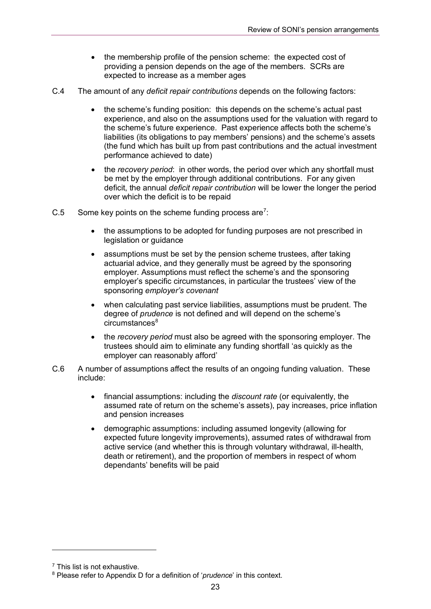- the membership profile of the pension scheme: the expected cost of providing a pension depends on the age of the members. SCRs are expected to increase as a member ages
- C.4 The amount of any *deficit repair contributions* depends on the following factors:
	- the scheme's funding position: this depends on the scheme's actual past experience, and also on the assumptions used for the valuation with regard to the scheme's future experience. Past experience affects both the scheme's liabilities (its obligations to pay members' pensions) and the scheme's assets (the fund which has built up from past contributions and the actual investment performance achieved to date)
	- the *recovery period*: in other words, the period over which any shortfall must be met by the employer through additional contributions. For any given deficit, the annual *deficit repair contribution* will be lower the longer the period over which the deficit is to be repaid
- C.5 Some key points on the scheme funding process are<sup>[7](#page-24-0)</sup>:
	- the assumptions to be adopted for funding purposes are not prescribed in legislation or guidance
	- assumptions must be set by the pension scheme trustees, after taking actuarial advice, and they generally must be agreed by the sponsoring employer. Assumptions must reflect the scheme's and the sponsoring employer's specific circumstances, in particular the trustees' view of the sponsoring *employer's covenant*
	- when calculating past service liabilities, assumptions must be prudent. The degree of *prudence* is not defined and will depend on the scheme's  $circumstances<sup>8</sup>$  $circumstances<sup>8</sup>$  $circumstances<sup>8</sup>$
	- the *recovery period* must also be agreed with the sponsoring employer. The trustees should aim to eliminate any funding shortfall 'as quickly as the employer can reasonably afford'
- C.6 A number of assumptions affect the results of an ongoing funding valuation. These include:
	- financial assumptions: including the *discount rate* (or equivalently, the assumed rate of return on the scheme's assets), pay increases, price inflation and pension increases
	- demographic assumptions: including assumed longevity (allowing for expected future longevity improvements), assumed rates of withdrawal from active service (and whether this is through voluntary withdrawal, ill-health, death or retirement), and the proportion of members in respect of whom dependants' benefits will be paid

 $<sup>7</sup>$  This list is not exhaustive.</sup>

<span id="page-24-1"></span><span id="page-24-0"></span><sup>8</sup> Please refer to Appendix D for a definition of '*prudence*' in this context.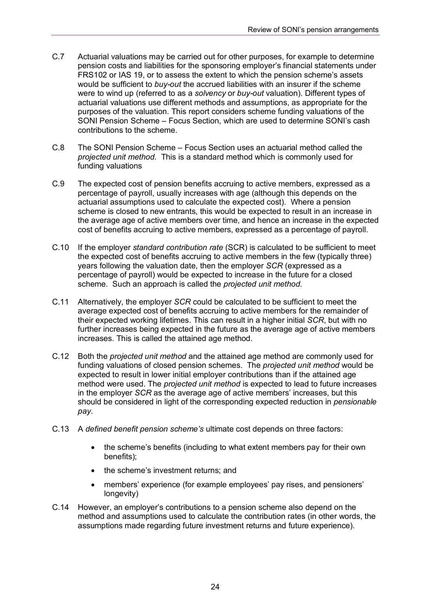- C.7 Actuarial valuations may be carried out for other purposes, for example to determine pension costs and liabilities for the sponsoring employer's financial statements under FRS102 or IAS 19, or to assess the extent to which the pension scheme's assets would be sufficient to *buy-out* the accrued liabilities with an insurer if the scheme were to wind up (referred to as a *solvency* or *buy-out* valuation). Different types of actuarial valuations use different methods and assumptions, as appropriate for the purposes of the valuation. This report considers scheme funding valuations of the SONI Pension Scheme – Focus Section, which are used to determine SONI's cash contributions to the scheme.
- C.8 The SONI Pension Scheme Focus Section uses an actuarial method called the *projected unit method*. This is a standard method which is commonly used for funding valuations
- C.9 The expected cost of pension benefits accruing to active members, expressed as a percentage of payroll, usually increases with age (although this depends on the actuarial assumptions used to calculate the expected cost). Where a pension scheme is closed to new entrants, this would be expected to result in an increase in the average age of active members over time, and hence an increase in the expected cost of benefits accruing to active members, expressed as a percentage of payroll.
- C.10 If the employer *standard contribution rate* (SCR) is calculated to be sufficient to meet the expected cost of benefits accruing to active members in the few (typically three) years following the valuation date, then the employer *SCR* (expressed as a percentage of payroll) would be expected to increase in the future for a closed scheme. Such an approach is called the *projected unit method*.
- C.11 Alternatively, the employer *SCR* could be calculated to be sufficient to meet the average expected cost of benefits accruing to active members for the remainder of their expected working lifetimes. This can result in a higher initial *SCR*, but with no further increases being expected in the future as the average age of active members increases. This is called the attained age method.
- C.12 Both the *projected unit method* and the attained age method are commonly used for funding valuations of closed pension schemes. The *projected unit method* would be expected to result in lower initial employer contributions than if the attained age method were used. The *projected unit method* is expected to lead to future increases in the employer *SCR* as the average age of active members' increases, but this should be considered in light of the corresponding expected reduction in *pensionable pay*.
- C.13 A *defined benefit pension scheme's* ultimate cost depends on three factors:
	- the scheme's benefits (including to what extent members pay for their own benefits);
	- the scheme's investment returns; and
	- members' experience (for example employees' pay rises, and pensioners' longevity)
- C.14 However, an employer's contributions to a pension scheme also depend on the method and assumptions used to calculate the contribution rates (in other words, the assumptions made regarding future investment returns and future experience).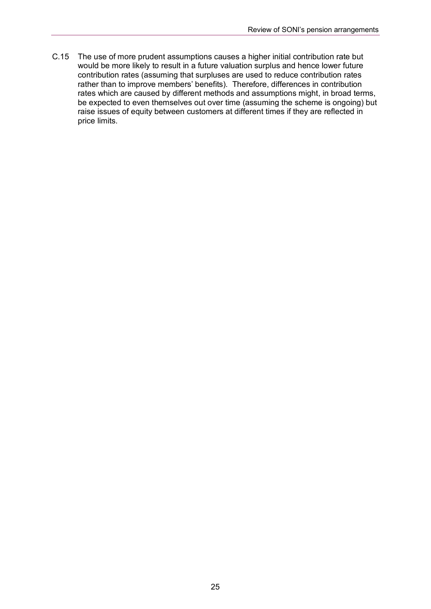C.15 The use of more prudent assumptions causes a higher initial contribution rate but would be more likely to result in a future valuation surplus and hence lower future contribution rates (assuming that surpluses are used to reduce contribution rates rather than to improve members' benefits). Therefore, differences in contribution rates which are caused by different methods and assumptions might, in broad terms, be expected to even themselves out over time (assuming the scheme is ongoing) but raise issues of equity between customers at different times if they are reflected in price limits.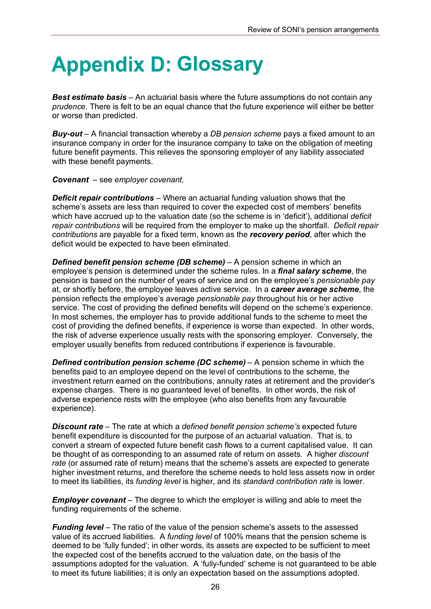## <span id="page-27-0"></span>**Appendix D: Glossary**

*Best estimate basis* – An actuarial basis where the future assumptions do not contain any *prudence*. There is felt to be an equal chance that the future experience will either be better or worse than predicted.

*Buy-out* – A financial transaction whereby a *DB pension scheme* pays a fixed amount to an insurance company in order for the insurance company to take on the obligation of meeting future benefit payments. This relieves the sponsoring employer of any liability associated with these benefit payments.

*Covenant* – see *employer covenant.*

*Deficit repair contributions* – Where an actuarial funding valuation shows that the scheme's assets are less than required to cover the expected cost of members' benefits which have accrued up to the valuation date (so the scheme is in 'deficit'), additional *deficit repair contributions* will be required from the employer to make up the shortfall. *Deficit repair contributions* are payable for a fixed term, known as the *recovery period*, after which the deficit would be expected to have been eliminated.

*Defined benefit pension scheme (DB scheme)* – A pension scheme in which an employee's pension is determined under the scheme rules. In a *final salary scheme*, the pension is based on the number of years of service and on the employee's *pensionable pay* at, or shortly before, the employee leaves active service. In a *career average scheme*, the pension reflects the employee's average *pensionable pay* throughout his or her active service. The cost of providing the defined benefits will depend on the scheme's experience. In most schemes, the employer has to provide additional funds to the scheme to meet the cost of providing the defined benefits, if experience is worse than expected. In other words, the risk of adverse experience usually rests with the sponsoring employer. Conversely, the employer usually benefits from reduced contributions if experience is favourable.

*Defined contribution pension scheme (DC scheme)* – A pension scheme in which the benefits paid to an employee depend on the level of contributions to the scheme, the investment return earned on the contributions, annuity rates at retirement and the provider's expense charges. There is no guaranteed level of benefits. In other words, the risk of adverse experience rests with the employee (who also benefits from any favourable experience).

*Discount rate* – The rate at which a *defined benefit pension scheme's* expected future benefit expenditure is discounted for the purpose of an actuarial valuation. That is, to convert a stream of expected future benefit cash flows to a current capitalised value. It can be thought of as corresponding to an assumed rate of return on assets. A higher *discount rate* (or assumed rate of return) means that the scheme's assets are expected to generate higher investment returns, and therefore the scheme needs to hold less assets now in order to meet its liabilities, its *funding level* is higher, and its *standard contribution rate* is lower.

*Employer covenant* – The degree to which the employer is willing and able to meet the funding requirements of the scheme.

*Funding level* – The ratio of the value of the pension scheme's assets to the assessed value of its accrued liabilities. A *funding level* of 100% means that the pension scheme is deemed to be 'fully funded'; in other words, its assets are expected to be sufficient to meet the expected cost of the benefits accrued to the valuation date, on the basis of the assumptions adopted for the valuation. A 'fully-funded' scheme is not guaranteed to be able to meet its future liabilities; it is only an expectation based on the assumptions adopted.